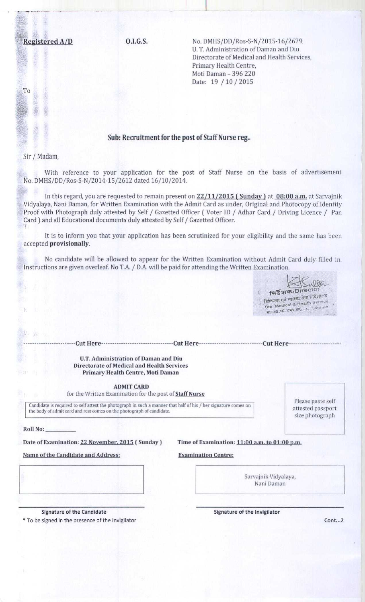**Registered A/D C.I.G.S.** No. DMHS/DD/Ros-S-N/2015-16/2679 U. T. Administration of Daman and Diu Directorate of Medical and Health Services, Primary Health Centre, Moti Daman - 396 220 Date: 19 / 10 / 2015

## Sub: Recruitment for the post of Staff Nurse reg..

**I**

Sir / Madam,

To

**With reference to your application for the post of Staff Nurse on the basis of advertisement No. DMHS/DD/Ros-S** -N/2014-15/ **2612 dated** 16/10/2014.

In this regard, you are **requested to remain present on 22** /**11/2015** ( **Sunday**) **at 08**: **00 a.m**. at Sarvajnik Vidyalaya, **Nani Daman**, for Written **Examination** with the Admit Card **as under** , **Original and** Photocopy of Identity Proof with **Photograph** duly attested by Self / Gazetted Officer ( Voter ID / Adhar Card / **Driving Licence / Pan** Card) **and all Educational documents** duly attested by Self / Gazetted Officer.

It is to inform you that your application has been scrutinized for your eligibility and the same has been accepted **provisionally.**

No candidate will be allowed to appear for the Written Examination without Admit Card duly filled in. Instructions are given overleaf. No T.A. / D.A. will be paid for attending the Written Examination.

विदेशक/Director **Die. Medical & Health Service** खिकित्सा एवं ग्वास्थ्य सेवा निर्देशालय **sti** 3ft, as a autres of the Daman ------------------------Cut Here---------------------------------Cut Here-----------------------------Cut Here------------------------ **U.T. Administration of Daman and Diu Directorate of Medical and Health Services** Primary Health Centre, Moti Daman **ADMIT CARD** for the Written **Examination** for the post **of Staff Nurse** Candidate is required to self attest the photograph in such a manner that half of his / her signature comes on the body of admit card and rest comes on the photograph of candidate. **Please** paste self attested passport size photograph Date of Examination: 22 November, 2015 (Sunday) Time of Examination: 11:00 a.m. to 01:00 p.m. Name of the Candidate and Address: **Examination** Centre:

> Sarvajnik Vidyalaya, Nani Daman

**Roll No:**

N6

\* To be signed in the presence of the Invigilator **Cont...2**

**Signature of the Candidate Signature of the Invigilator**